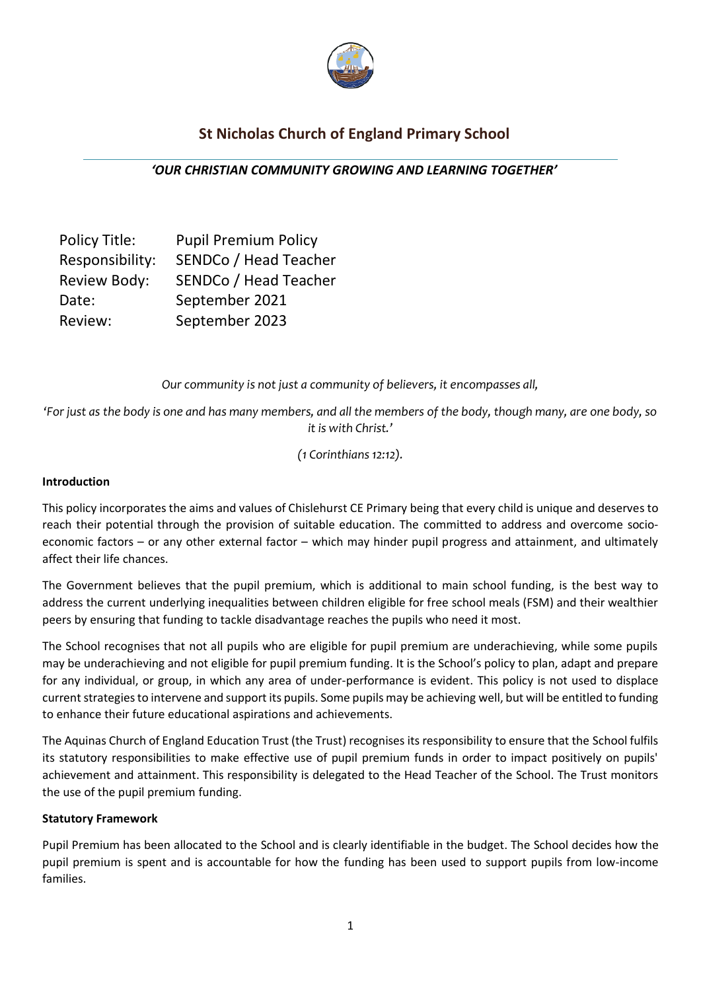

# **St Nicholas Church of England Primary School**

*'OUR CHRISTIAN COMMUNITY GROWING AND LEARNING TOGETHER'*

| Policy Title:   | <b>Pupil Premium Policy</b> |
|-----------------|-----------------------------|
| Responsibility: | SENDCo / Head Teacher       |
| Review Body:    | SENDCo / Head Teacher       |
| Date:           | September 2021              |
| Review:         | September 2023              |

*Our community is not just a community of believers, it encompasses all,* 

*'For just as the body is one and has many members, and all the members of the body, though many, are one body, so it is with Christ.'* 

*(1 Corinthians 12:12).*

#### **Introduction**

This policy incorporates the aims and values of Chislehurst CE Primary being that every child is unique and deserves to reach their potential through the provision of suitable education. The committed to address and overcome socioeconomic factors – or any other external factor – which may hinder pupil progress and attainment, and ultimately affect their life chances.

The Government believes that the pupil premium, which is additional to main school funding, is the best way to address the current underlying inequalities between children eligible for free school meals (FSM) and their wealthier peers by ensuring that funding to tackle disadvantage reaches the pupils who need it most.

The School recognises that not all pupils who are eligible for pupil premium are underachieving, while some pupils may be underachieving and not eligible for pupil premium funding. It is the School's policy to plan, adapt and prepare for any individual, or group, in which any area of under-performance is evident. This policy is not used to displace current strategies to intervene and support its pupils. Some pupils may be achieving well, but will be entitled to funding to enhance their future educational aspirations and achievements.

The Aquinas Church of England Education Trust (the Trust) recognises its responsibility to ensure that the School fulfils its statutory responsibilities to make effective use of pupil premium funds in order to impact positively on pupils' achievement and attainment. This responsibility is delegated to the Head Teacher of the School. The Trust monitors the use of the pupil premium funding.

# **Statutory Framework**

Pupil Premium has been allocated to the School and is clearly identifiable in the budget. The School decides how the pupil premium is spent and is accountable for how the funding has been used to support pupils from low-income families.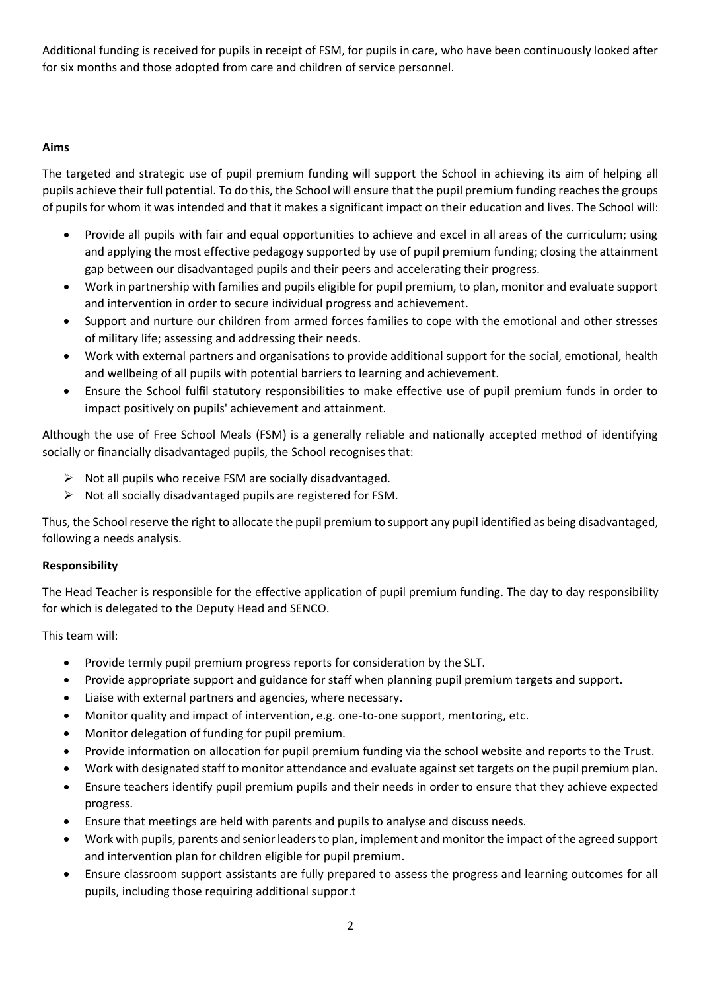Additional funding is received for pupils in receipt of FSM, for pupils in care, who have been continuously looked after for six months and those adopted from care and children of service personnel.

# **Aims**

The targeted and strategic use of pupil premium funding will support the School in achieving its aim of helping all pupils achieve their full potential. To do this, the School will ensure that the pupil premium funding reaches the groups of pupils for whom it was intended and that it makes a significant impact on their education and lives. The School will:

- Provide all pupils with fair and equal opportunities to achieve and excel in all areas of the curriculum; using and applying the most effective pedagogy supported by use of pupil premium funding; closing the attainment gap between our disadvantaged pupils and their peers and accelerating their progress.
- Work in partnership with families and pupils eligible for pupil premium, to plan, monitor and evaluate support and intervention in order to secure individual progress and achievement.
- Support and nurture our children from armed forces families to cope with the emotional and other stresses of military life; assessing and addressing their needs.
- Work with external partners and organisations to provide additional support for the social, emotional, health and wellbeing of all pupils with potential barriers to learning and achievement.
- Ensure the School fulfil statutory responsibilities to make effective use of pupil premium funds in order to impact positively on pupils' achievement and attainment.

Although the use of Free School Meals (FSM) is a generally reliable and nationally accepted method of identifying socially or financially disadvantaged pupils, the School recognises that:

- $\triangleright$  Not all pupils who receive FSM are socially disadvantaged.
- ➢ Not all socially disadvantaged pupils are registered for FSM.

Thus, the School reserve the right to allocate the pupil premium to support any pupil identified as being disadvantaged, following a needs analysis.

# **Responsibility**

The Head Teacher is responsible for the effective application of pupil premium funding. The day to day responsibility for which is delegated to the Deputy Head and SENCO.

This team will:

- Provide termly pupil premium progress reports for consideration by the SLT.
- Provide appropriate support and guidance for staff when planning pupil premium targets and support.
- Liaise with external partners and agencies, where necessary.
- Monitor quality and impact of intervention, e.g. one-to-one support, mentoring, etc.
- Monitor delegation of funding for pupil premium.
- Provide information on allocation for pupil premium funding via the school website and reports to the Trust.
- Work with designated staff to monitor attendance and evaluate against set targets on the pupil premium plan.
- Ensure teachers identify pupil premium pupils and their needs in order to ensure that they achieve expected progress.
- Ensure that meetings are held with parents and pupils to analyse and discuss needs.
- Work with pupils, parents and senior leaders to plan, implement and monitor the impact of the agreed support and intervention plan for children eligible for pupil premium.
- Ensure classroom support assistants are fully prepared to assess the progress and learning outcomes for all pupils, including those requiring additional suppor.t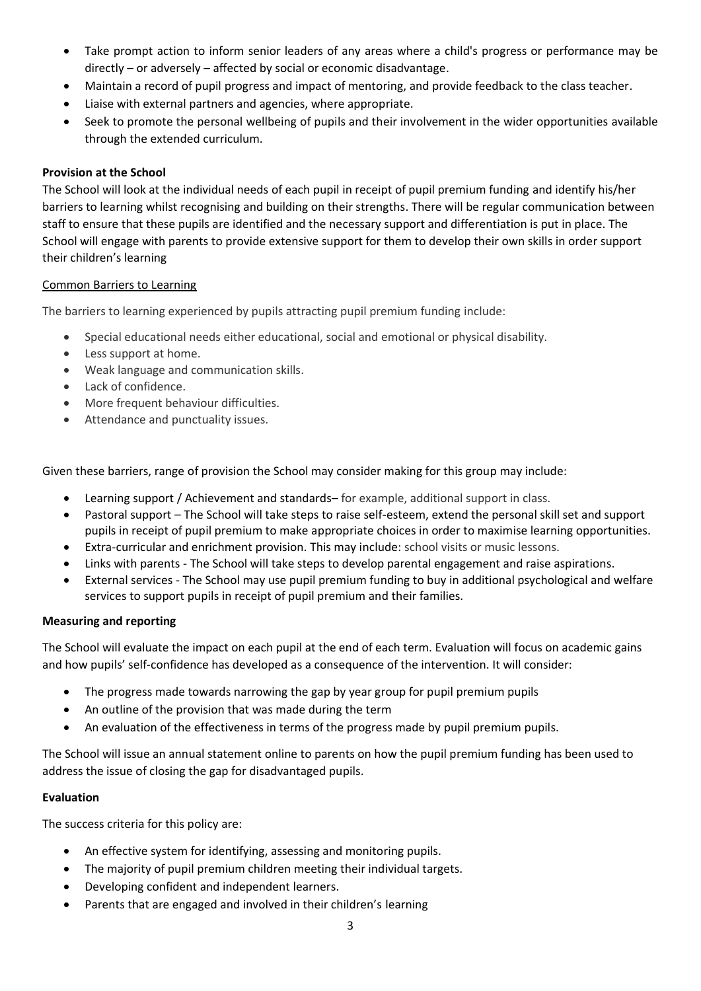- Take prompt action to inform senior leaders of any areas where a child's progress or performance may be directly – or adversely – affected by social or economic disadvantage.
- Maintain a record of pupil progress and impact of mentoring, and provide feedback to the class teacher.
- Liaise with external partners and agencies, where appropriate.
- Seek to promote the personal wellbeing of pupils and their involvement in the wider opportunities available through the extended curriculum.

#### **Provision at the School**

The School will look at the individual needs of each pupil in receipt of pupil premium funding and identify his/her barriers to learning whilst recognising and building on their strengths. There will be regular communication between staff to ensure that these pupils are identified and the necessary support and differentiation is put in place. The School will engage with parents to provide extensive support for them to develop their own skills in order support their children's learning

#### Common Barriers to Learning

The barriers to learning experienced by pupils attracting pupil premium funding include:

- Special educational needs either educational, social and emotional or physical disability.
- Less support at home.
- Weak language and communication skills.
- Lack of confidence.
- More frequent behaviour difficulties.
- Attendance and punctuality issues.

Given these barriers, range of provision the School may consider making for this group may include:

- Learning support / Achievement and standards– for example, additional support in class.
- Pastoral support The School will take steps to raise self-esteem, extend the personal skill set and support pupils in receipt of pupil premium to make appropriate choices in order to maximise learning opportunities.
- Extra-curricular and enrichment provision. This may include: school visits or music lessons.
- Links with parents The School will take steps to develop parental engagement and raise aspirations.
- External services The School may use pupil premium funding to buy in additional psychological and welfare services to support pupils in receipt of pupil premium and their families.

# **Measuring and reporting**

The School will evaluate the impact on each pupil at the end of each term. Evaluation will focus on academic gains and how pupils' self-confidence has developed as a consequence of the intervention. It will consider:

- The progress made towards narrowing the gap by year group for pupil premium pupils
- An outline of the provision that was made during the term
- An evaluation of the effectiveness in terms of the progress made by pupil premium pupils.

The School will issue an annual statement online to parents on how the pupil premium funding has been used to address the issue of closing the gap for disadvantaged pupils.

# **Evaluation**

The success criteria for this policy are:

- An effective system for identifying, assessing and monitoring pupils.
- The majority of pupil premium children meeting their individual targets.
- Developing confident and independent learners.
- Parents that are engaged and involved in their children's learning